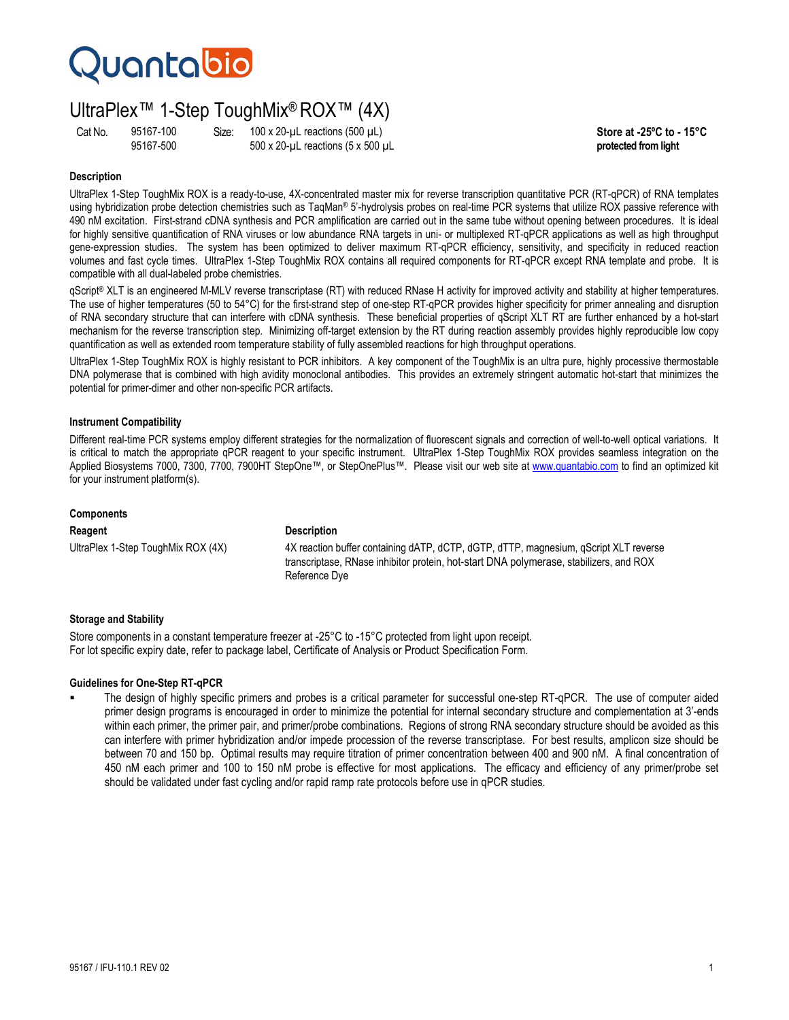## **Quantabio**

### UltraPlex™ 1-Step ToughMix® ROX™ (4X)

Cat No. 95167-100 Size: 100 x 20-µL reactions (500 µL)<br>95167-500 500 x 20-uL reactions (5 x 500 uL **Store at -25°C to - 15°C** 95167-500 500 x 20-µL reactions (5 x 500 µL **protected from light**

### **Description**

UltraPlex 1-Step ToughMix ROX is a ready-to-use, 4X-concentrated master mix for reverse transcription quantitative PCR (RT-qPCR) of RNA templates using hybridization probe detection chemistries such as TaqMan® 5'-hydrolysis probes on real-time PCR systems that utilize ROX passive reference with 490 nM excitation. First-strand cDNA synthesis and PCR amplification are carried out in the same tube without opening between procedures. It is ideal for highly sensitive quantification of RNA viruses or low abundance RNA targets in uni- or multiplexed RT-qPCR applications as well as high throughput gene-expression studies. The system has been optimized to deliver maximum RT-qPCR efficiency, sensitivity, and specificity in reduced reaction volumes and fast cycle times. UltraPlex 1-Step ToughMix ROX contains all required components for RT-qPCR except RNA template and probe. It is compatible with all dual-labeled probe chemistries.

qScript® XLT is an engineered M-MLV reverse transcriptase (RT) with reduced RNase H activity for improved activity and stability at higher temperatures. The use of higher temperatures (50 to 54°C) for the first-strand step of one-step RT-qPCR provides higher specificity for primer annealing and disruption of RNA secondary structure that can interfere with cDNA synthesis. These beneficial properties of qScript XLT RT are further enhanced by a hot-start mechanism for the reverse transcription step. Minimizing off-target extension by the RT during reaction assembly provides highly reproducible low copy quantification as well as extended room temperature stability of fully assembled reactions for high throughput operations.

UltraPlex 1-Step ToughMix ROX is highly resistant to PCR inhibitors. A key component of the ToughMix is an ultra pure, highly processive thermostable DNA polymerase that is combined with high avidity monoclonal antibodies. This provides an extremely stringent automatic hot-start that minimizes the potential for primer-dimer and other non-specific PCR artifacts.

### **Instrument Compatibility**

Different real-time PCR systems employ different strategies for the normalization of fluorescent signals and correction of well-to-well optical variations. It is critical to match the appropriate qPCR reagent to your specific instrument. UltraPlex 1-Step ToughMix ROX provides seamless integration on the Applied Biosystems 7000, 7300, 7700, 7900HT StepOne™, or StepOnePlus™. Please visit our web site at www.quantabio.com to find an optimized kit for your instrument platform(s).

### **Components**

**Reagent Description**

UltraPlex 1-Step ToughMix ROX (4X) 4X reaction buffer containing dATP, dCTP, dGTP, dTTP, magnesium, qScript XLT reverse transcriptase, RNase inhibitor protein, hot-start DNA polymerase, stabilizers, and ROX Reference Dye

### **Storage and Stability**

Store components in a constant temperature freezer at -25°C to -15°C protected from light upon receipt. For lot specific expiry date, refer to package label, Certificate of Analysis or Product Specification Form.

### **Guidelines for One-Step RT-qPCR**

 The design of highly specific primers and probes is a critical parameter for successful one-step RT-qPCR. The use of computer aided primer design programs is encouraged in order to minimize the potential for internal secondary structure and complementation at 3'-ends within each primer, the primer pair, and primer/probe combinations. Regions of strong RNA secondary structure should be avoided as this can interfere with primer hybridization and/or impede procession of the reverse transcriptase. For best results, amplicon size should be between 70 and 150 bp. Optimal results may require titration of primer concentration between 400 and 900 nM. A final concentration of 450 nM each primer and 100 to 150 nM probe is effective for most applications. The efficacy and efficiency of any primer/probe set should be validated under fast cycling and/or rapid ramp rate protocols before use in qPCR studies.